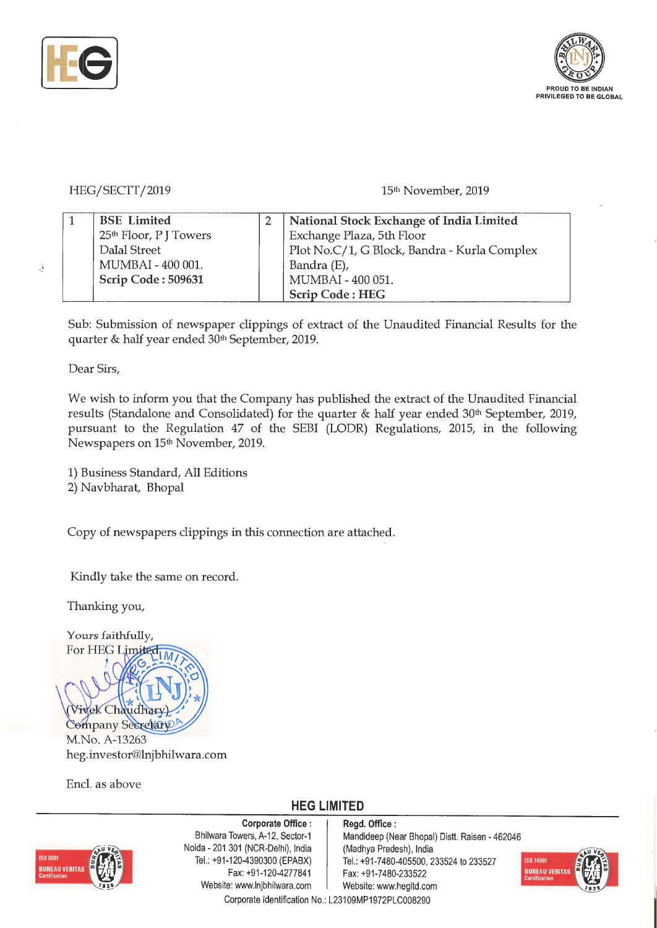



### HEG/SECTT/2019

#### 15th November, 2019

| <b>BSE</b> Limited                 | National Stock Exchange of India Limited     |
|------------------------------------|----------------------------------------------|
| 25 <sup>th</sup> Floor, P J Towers | Exchange Plaza, 5th Floor                    |
| Dalal Street                       | Plot No.C/1, G Block, Bandra - Kurla Complex |
| MUMBAI - 400 001.                  | Bandra (E),                                  |
| Scrip Code: 509631                 | MUMBAI - 400 051.                            |
|                                    | <b>Scrip Code: HEG</b>                       |

Sub: Submission of newspaper clippings of extract of the Unaudited Financial Results for the quarter & half year ended 30<sup>th</sup> September, 2019.

Dear Sirs,

Ą

We wish to inform you that the Company has published the extract of the Unaudited Financial results (Standalone and Consolidated) for the quarter & half year ended 30<sup>th</sup> September, 2019, pursuant to the Regulation 47 of the SEBI (LODR) Regulations, 2015, in the following Newspapers on 15<sup>th</sup> November, 2019.

1) Business Standard, All Editions 2) Navbharat, Bhopal

Copy of newspapers clippings in this connection are attached.

Kindly take the same on record.

Thanking you,

Yours faithfully, For HEG Limited r-Vivek Chaudhary Company Secretary M.No. A-13263 heg.investor@lnjbhilwara.com

Encl. as above

## **HEG LIMITED**



**Corporate Office** : Bhilwara Towers, A-12, Sector-1 Naida - 201 301 (NCR-Delhi), India Tel.: +91-120-4390300 (EPABX) Fax: +91-120-4277841 Website: www.lnjbhilwara.com | Website: www.hegltd.com

**Regd. Office:** Mandideep (Near Bhopal) Distt. Raisen - 462046 (Madhya Pradesh), India Tel.: +91-7480-405500, 233524 to 233527 Fax: +91 -7480-233522 Corporate Identification No.: L23109MP1972PLC008290

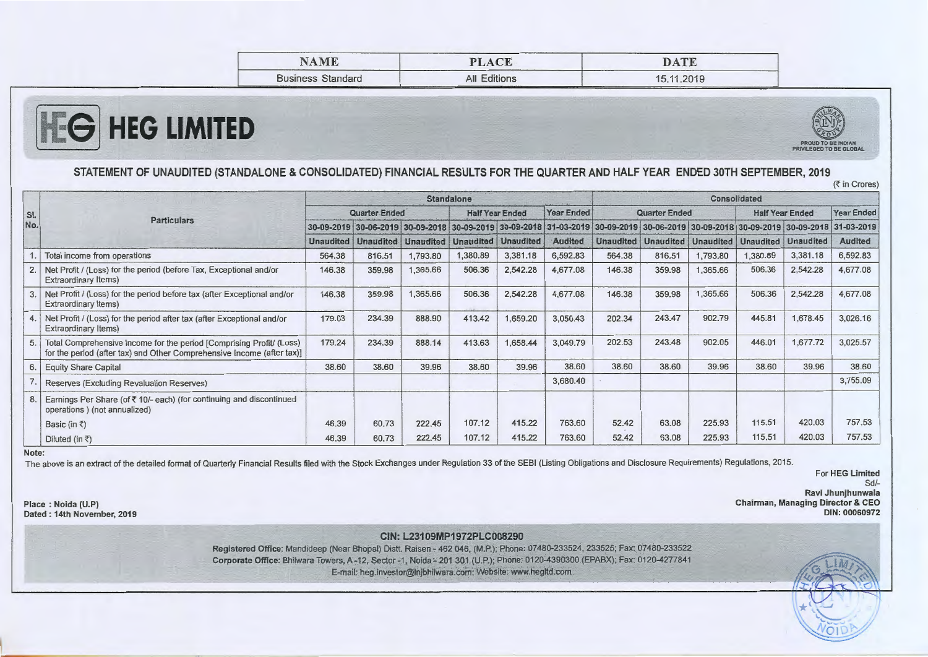| MAME                                            | <b>PLACE</b>                                                                                                                                                                                                                                                                                                                                                                                                                                                                                        | DATE<br>_____                 |
|-------------------------------------------------|-----------------------------------------------------------------------------------------------------------------------------------------------------------------------------------------------------------------------------------------------------------------------------------------------------------------------------------------------------------------------------------------------------------------------------------------------------------------------------------------------------|-------------------------------|
| <b>Business Standard</b><br>________<br>_______ | Editions<br>aii<br>the property of the control of the control of the control of the control of the control of the control of the control of the control of the control of the control of the control of the control of the control of the control<br><u> The Commercial Commercial Commercial Commercial Commercial Commercial Commercial Commercial Commercial Commercial Commercial Commercial Commercial Commercial Commercial Commercial Commercial Commercial Commercial Commerc</u><br>______ | 15.11.2019<br>____<br>_______ |



-



#### - - - - **STATEMENT OF UNAUDITED (STANDALONE** & **CONSOLIDATED) FINANCIAL RESULTS FOR THE QUARTER AND HALF YEAR ENDED 30TH SEPTEMBER, 2019**  (₹ in Crores)

| SI.<br>No. | <b>Particulars</b>                                                                                                                             | <b>Standalone</b> |        |                                                                                                                                     |                        |          |                |                      | Consolidated     |                  |                        |                            |                   |  |
|------------|------------------------------------------------------------------------------------------------------------------------------------------------|-------------------|--------|-------------------------------------------------------------------------------------------------------------------------------------|------------------------|----------|----------------|----------------------|------------------|------------------|------------------------|----------------------------|-------------------|--|
|            |                                                                                                                                                | Quarter Ended     |        |                                                                                                                                     | <b>Half Year Ended</b> |          | Year Ended     | <b>Quarter Ended</b> |                  |                  | <b>Half Year Ended</b> |                            | <b>Year Ended</b> |  |
|            |                                                                                                                                                |                   |        | 30-09-2019 30-06-2019 30-09-2018 30-09-2019 30-09-2018 31-03-2019 30-09-2019 30-06-2019 30-06-2018 30-09-2018 30-09-2019 30-09-2018 |                        |          |                |                      |                  |                  |                        |                            | 31-03-2019        |  |
|            |                                                                                                                                                | <b>Unaudited</b>  |        | Unaudited Unaudited Unaudited Unaudited                                                                                             |                        |          | <b>Audited</b> | <b>Unaudited</b>     | <b>Unaudited</b> | <b>Unaudited</b> |                        | <b>Unaudited Unaudited</b> | <b>Audited</b>    |  |
|            | Total income from operations                                                                                                                   | 564.38            | 816.51 | 1,793.80                                                                                                                            | 1,380.89               | 3,381.18 | 6,592.83       | 564.38               | 816.51           | 1,793.80         | ,380.89                | 3,381.18                   | 6,592.83          |  |
| 2.         | Net Profit / (Loss) for the period (before Tax, Exceptional and/or<br>Extraordinary Items)                                                     | 146.38            | 359.98 | 1,365.66                                                                                                                            | 506.36                 | 2,542.28 | 4,677.08       | 146.38               | 359.98           | 1,365.66         | 506.36                 | 2,542.28                   | 4,677.08          |  |
|            | Net Profit / (Loss) for the period before tax (after Exceptional and/or<br>Extraordinary Items)                                                | 146.38            | 359.98 | 1,365.66                                                                                                                            | 506.36                 | 2,542.28 | 4,677.08       | 146.38               | 359.98           | 1,365.66         | 506.36                 | 2,542.28                   | 4,677.08          |  |
| 4.         | Net Profit / (Loss) for the period after tax (after Exceptional and/or<br>Extraordinary Items)                                                 | 179.03            | 234.39 | 888.90                                                                                                                              | 413.42                 | 1,659.20 | 3,050.43       | 202.34               | 243.47           | 902.79           | 445.81                 | 1,678.45                   | 3,026.16          |  |
| 5.         | Total Comprehensive Income for the period [Comprising Profit/ (Loss)<br>for the period (after tax) and Other Comprehensive Income (after tax)] | 179.24            | 234.39 | 888.14                                                                                                                              | 413.63                 | 1,658.44 | 3,049.79       | 202.53               | 243.48           | 902.05           | 446.01                 | 1,677.72                   | 3,025.57          |  |
| 6.         | <b>Equity Share Capital</b>                                                                                                                    | 38.60             | 38.60  | 39.96                                                                                                                               | 38.60                  | 39.96    | 38.60          | 38.60                | 38.60            | 39.96            | 38.60                  | 39.96                      | 38.60             |  |
|            | Reserves (Excluding Revaluation Reserves)                                                                                                      |                   |        |                                                                                                                                     |                        |          | 3,680.40       |                      |                  |                  |                        |                            | 3,755.09          |  |
| 8.         | Earnings Per Share (of ₹10/- each) (for continuing and discontinued<br>operations ) (not annualized)                                           |                   |        |                                                                                                                                     |                        |          |                |                      |                  |                  |                        |                            |                   |  |
|            | Basic (in ₹)                                                                                                                                   | 46.39             | 60.73  | 222.45                                                                                                                              | 107.12                 | 415.22   | 763.60         | 52.42                | 63.08            | 225.93           | 115.51                 | 420.03                     | 757.53            |  |
|            | Diluted (in ₹)                                                                                                                                 | 46.39             | 60.73  | 222.45                                                                                                                              | 107.12                 | 415.22   | 763.60         | 52.42                | 63.08            | 225.93           | 115.51                 | 420.03                     | 757.53            |  |

**Note:** 

**Place** : **Noida (U.P) Dated: 14th November, 2019** 

The above is an extract of the detailed format of Quarterly Financial Results filed with the Stock Exchanges under Regulation 33 of the SEBI (Listing Obligations and Disclosure Requirements) Regulations, 2015.

--

For **HEG Limited**  Sd/-**Ravi Jhunjhunwala** 

-LiA~ *'!f.L~,-..---.... ~r,~ 11.z-t~a* 

**WOID** 

**Chairman, Managing Director** & **CEO DIN: 00060972** 

> ~-- $\cdot$   $\alpha$  -

-

**CIN: L23109MP1972PLC008290** 

**Registered Office:** Mandideep (Near Bhopal) Distt. Raisen - 462 046, (M.P.); Phone: 07480-233524, 233525; Fax: 07480-233522 **Corporate Office:** Bhilwara Towers, A-12, Sector-1 , Noida - 201 301 (U.P.); Phone: 0120-4390300 (EPABX); Fax: 0120-4277841 E-mail: heg.investor@lnjbhilwara.com; Website: www.hegltd.com